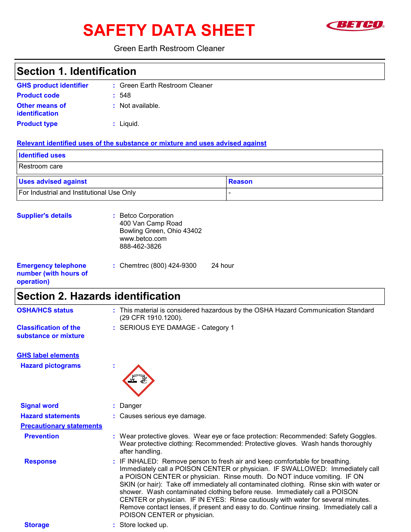# **SAFETY DATA SHEET**



### **Green Earth Restroom Cleaner**

| <b>Section 1. Identification</b>                                  |                                                                                                                                                                                                                                                                                                                                                                                                                                                                                                                                                                                                                                 |
|-------------------------------------------------------------------|---------------------------------------------------------------------------------------------------------------------------------------------------------------------------------------------------------------------------------------------------------------------------------------------------------------------------------------------------------------------------------------------------------------------------------------------------------------------------------------------------------------------------------------------------------------------------------------------------------------------------------|
| <b>GHS product identifier</b>                                     | : Green Earth Restroom Cleaner                                                                                                                                                                                                                                                                                                                                                                                                                                                                                                                                                                                                  |
| <b>Product code</b>                                               | : 548                                                                                                                                                                                                                                                                                                                                                                                                                                                                                                                                                                                                                           |
| <b>Other means of</b><br><b>identification</b>                    | : Not available.                                                                                                                                                                                                                                                                                                                                                                                                                                                                                                                                                                                                                |
| <b>Product type</b>                                               | $:$ Liquid.                                                                                                                                                                                                                                                                                                                                                                                                                                                                                                                                                                                                                     |
|                                                                   | Relevant identified uses of the substance or mixture and uses advised against                                                                                                                                                                                                                                                                                                                                                                                                                                                                                                                                                   |
| <b>Identified uses</b>                                            |                                                                                                                                                                                                                                                                                                                                                                                                                                                                                                                                                                                                                                 |
| Restroom care                                                     |                                                                                                                                                                                                                                                                                                                                                                                                                                                                                                                                                                                                                                 |
| <b>Uses advised against</b>                                       | <b>Reason</b>                                                                                                                                                                                                                                                                                                                                                                                                                                                                                                                                                                                                                   |
| For Industrial and Institutional Use Only                         |                                                                                                                                                                                                                                                                                                                                                                                                                                                                                                                                                                                                                                 |
| <b>Supplier's details</b>                                         | : Betco Corporation<br>400 Van Camp Road<br>Bowling Green, Ohio 43402<br>www.betco.com<br>888-462-3826                                                                                                                                                                                                                                                                                                                                                                                                                                                                                                                          |
| <b>Emergency telephone</b><br>number (with hours of<br>operation) | : Chemtrec (800) 424-9300<br>24 hour                                                                                                                                                                                                                                                                                                                                                                                                                                                                                                                                                                                            |
| <b>Section 2. Hazards identification</b>                          |                                                                                                                                                                                                                                                                                                                                                                                                                                                                                                                                                                                                                                 |
| <b>OSHA/HCS status</b>                                            | : This material is considered hazardous by the OSHA Hazard Communication Standard<br>(29 CFR 1910.1200).                                                                                                                                                                                                                                                                                                                                                                                                                                                                                                                        |
| <b>Classification of the</b><br>substance or mixture              | : SERIOUS EYE DAMAGE - Category 1                                                                                                                                                                                                                                                                                                                                                                                                                                                                                                                                                                                               |
| <b>GHS label elements</b>                                         |                                                                                                                                                                                                                                                                                                                                                                                                                                                                                                                                                                                                                                 |
| <b>Hazard pictograms</b>                                          | <b>Brown Committee</b>                                                                                                                                                                                                                                                                                                                                                                                                                                                                                                                                                                                                          |
|                                                                   |                                                                                                                                                                                                                                                                                                                                                                                                                                                                                                                                                                                                                                 |
| <b>Signal word</b>                                                | Danger                                                                                                                                                                                                                                                                                                                                                                                                                                                                                                                                                                                                                          |
| <b>Hazard statements</b>                                          | Causes serious eye damage.                                                                                                                                                                                                                                                                                                                                                                                                                                                                                                                                                                                                      |
| <b>Precautionary statements</b>                                   |                                                                                                                                                                                                                                                                                                                                                                                                                                                                                                                                                                                                                                 |
| <b>Prevention</b>                                                 | Wear protective gloves. Wear eye or face protection: Recommended: Safety Goggles.<br>Wear protective clothing: Recommended: Protective gloves. Wash hands thoroughly<br>after handling.                                                                                                                                                                                                                                                                                                                                                                                                                                         |
| <b>Response</b>                                                   | IF INHALED: Remove person to fresh air and keep comfortable for breathing.<br>Immediately call a POISON CENTER or physician. IF SWALLOWED: Immediately call<br>a POISON CENTER or physician. Rinse mouth. Do NOT induce vomiting. IF ON<br>SKIN (or hair): Take off immediately all contaminated clothing. Rinse skin with water or<br>shower. Wash contaminated clothing before reuse. Immediately call a POISON<br>CENTER or physician. IF IN EYES: Rinse cautiously with water for several minutes.<br>Remove contact lenses, if present and easy to do. Continue rinsing. Immediately call a<br>POISON CENTER or physician. |
| <b>Storage</b>                                                    | Store locked up.                                                                                                                                                                                                                                                                                                                                                                                                                                                                                                                                                                                                                |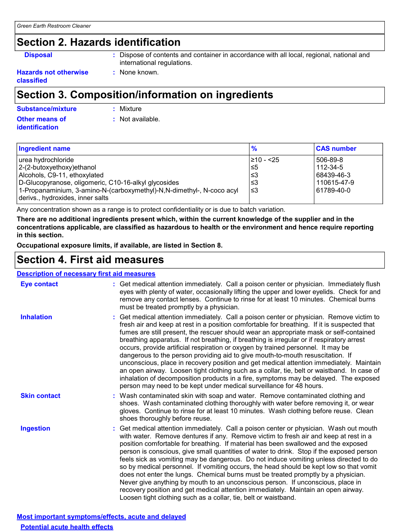### **Section 2. Hazards identification**

**Disposal** 

: Dispose of contents and container in accordance with all local, regional, national and international regulations.

**Hazards not otherwise** classified

### Section 3. Composition/information on ingredients

: None known.

| <b>Substance/mixture</b> | : Mixture          |
|--------------------------|--------------------|
| <b>Other means of</b>    | $:$ Not available. |
| identification           |                    |

| <b>Ingredient name</b>                                                | $\frac{9}{6}$  | <b>CAS number</b> |
|-----------------------------------------------------------------------|----------------|-------------------|
| urea hydrochloride                                                    | $\geq 10 - 25$ | 506-89-8          |
| 2-(2-butoxyethoxy)ethanol                                             | ≤5             | 112-34-5          |
| Alcohols, C9-11, ethoxylated                                          | l≤3            | 68439-46-3        |
| D-Glucopyranose, oligomeric, C10-16-alkyl glycosides                  | l≤3            | 110615-47-9       |
| 1-Propanaminium, 3-amino-N-(carboxymethyl)-N,N-dimethyl-, N-coco acyl | 3≥ ا           | 61789-40-0        |
| derivs., hydroxides, inner salts                                      |                |                   |

Any concentration shown as a range is to protect confidentiality or is due to batch variation.

There are no additional ingredients present which, within the current knowledge of the supplier and in the concentrations applicable, are classified as hazardous to health or the environment and hence require reporting in this section.

Occupational exposure limits, if available, are listed in Section 8.

### **Section 4. First aid measures**

### **Description of necessary first aid measures**

| Eye contact         | : Get medical attention immediately. Call a poison center or physician. Immediately flush<br>eyes with plenty of water, occasionally lifting the upper and lower eyelids. Check for and<br>remove any contact lenses. Continue to rinse for at least 10 minutes. Chemical burns<br>must be treated promptly by a physician.                                                                                                                                                                                                                                                                                                                                                                                                                                                                                                                                                                                  |
|---------------------|--------------------------------------------------------------------------------------------------------------------------------------------------------------------------------------------------------------------------------------------------------------------------------------------------------------------------------------------------------------------------------------------------------------------------------------------------------------------------------------------------------------------------------------------------------------------------------------------------------------------------------------------------------------------------------------------------------------------------------------------------------------------------------------------------------------------------------------------------------------------------------------------------------------|
| <b>Inhalation</b>   | : Get medical attention immediately. Call a poison center or physician. Remove victim to<br>fresh air and keep at rest in a position comfortable for breathing. If it is suspected that<br>fumes are still present, the rescuer should wear an appropriate mask or self-contained<br>breathing apparatus. If not breathing, if breathing is irregular or if respiratory arrest<br>occurs, provide artificial respiration or oxygen by trained personnel. It may be<br>dangerous to the person providing aid to give mouth-to-mouth resuscitation. If<br>unconscious, place in recovery position and get medical attention immediately. Maintain<br>an open airway. Loosen tight clothing such as a collar, tie, belt or waistband. In case of<br>inhalation of decomposition products in a fire, symptoms may be delayed. The exposed<br>person may need to be kept under medical surveillance for 48 hours. |
| <b>Skin contact</b> | : Wash contaminated skin with soap and water. Remove contaminated clothing and<br>shoes. Wash contaminated clothing thoroughly with water before removing it, or wear<br>gloves. Continue to rinse for at least 10 minutes. Wash clothing before reuse. Clean<br>shoes thoroughly before reuse.                                                                                                                                                                                                                                                                                                                                                                                                                                                                                                                                                                                                              |
| <b>Ingestion</b>    | : Get medical attention immediately. Call a poison center or physician. Wash out mouth<br>with water. Remove dentures if any. Remove victim to fresh air and keep at rest in a<br>position comfortable for breathing. If material has been swallowed and the exposed<br>person is conscious, give small quantities of water to drink. Stop if the exposed person<br>feels sick as vomiting may be dangerous. Do not induce vomiting unless directed to do<br>so by medical personnel. If vomiting occurs, the head should be kept low so that vomit<br>does not enter the lungs. Chemical burns must be treated promptly by a physician.<br>Never give anything by mouth to an unconscious person. If unconscious, place in<br>recovery position and get medical attention immediately. Maintain an open airway.<br>Loosen tight clothing such as a collar, tie, belt or waistband.                          |

Most important symptoms/effects, acute and delayed **Potential acute health effects**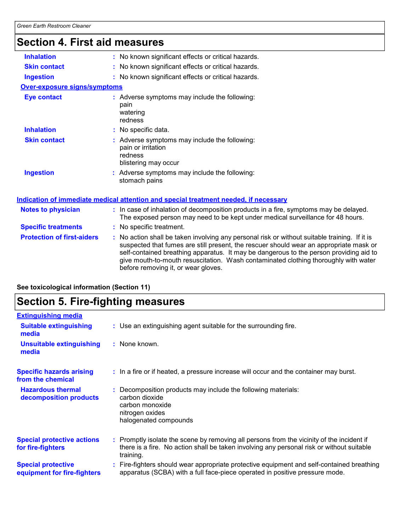## Section 4. First aid measures

| <b>Inhalation</b>                   | : No known significant effects or critical hazards.                                                                                                                                                                                                                                                                                                                                                             |
|-------------------------------------|-----------------------------------------------------------------------------------------------------------------------------------------------------------------------------------------------------------------------------------------------------------------------------------------------------------------------------------------------------------------------------------------------------------------|
| <b>Skin contact</b>                 | : No known significant effects or critical hazards.                                                                                                                                                                                                                                                                                                                                                             |
| <b>Ingestion</b>                    | : No known significant effects or critical hazards.                                                                                                                                                                                                                                                                                                                                                             |
| <b>Over-exposure signs/symptoms</b> |                                                                                                                                                                                                                                                                                                                                                                                                                 |
| <b>Eye contact</b>                  | : Adverse symptoms may include the following:<br>pain<br>watering<br>redness                                                                                                                                                                                                                                                                                                                                    |
| <b>Inhalation</b>                   | : No specific data.                                                                                                                                                                                                                                                                                                                                                                                             |
| <b>Skin contact</b>                 | : Adverse symptoms may include the following:<br>pain or irritation<br>redness<br>blistering may occur                                                                                                                                                                                                                                                                                                          |
| <b>Ingestion</b>                    | : Adverse symptoms may include the following:<br>stomach pains                                                                                                                                                                                                                                                                                                                                                  |
|                                     | Indication of immediate medical attention and special treatment needed, if necessary                                                                                                                                                                                                                                                                                                                            |
| <b>Notes to physician</b>           | : In case of inhalation of decomposition products in a fire, symptoms may be delayed.<br>The exposed person may need to be kept under medical surveillance for 48 hours.                                                                                                                                                                                                                                        |
| <b>Specific treatments</b>          | : No specific treatment.                                                                                                                                                                                                                                                                                                                                                                                        |
| <b>Protection of first-aiders</b>   | : No action shall be taken involving any personal risk or without suitable training. If it is<br>suspected that fumes are still present, the rescuer should wear an appropriate mask or<br>self-contained breathing apparatus. It may be dangerous to the person providing aid to<br>give mouth-to-mouth resuscitation. Wash contaminated clothing thoroughly with water<br>before removing it, or wear gloves. |

See toxicological information (Section 11)

### **Section 5. Fire-fighting measures**

| <b>Extinguishing media</b>                               |                                                                                                                                                                                                     |
|----------------------------------------------------------|-----------------------------------------------------------------------------------------------------------------------------------------------------------------------------------------------------|
| <b>Suitable extinguishing</b><br>media                   | : Use an extinguishing agent suitable for the surrounding fire.                                                                                                                                     |
| <b>Unsuitable extinguishing</b><br>media                 | : None known.                                                                                                                                                                                       |
| <b>Specific hazards arising</b><br>from the chemical     | : In a fire or if heated, a pressure increase will occur and the container may burst.                                                                                                               |
| <b>Hazardous thermal</b><br>decomposition products       | : Decomposition products may include the following materials:<br>carbon dioxide<br>carbon monoxide<br>nitrogen oxides<br>halogenated compounds                                                      |
| <b>Special protective actions</b><br>for fire-fighters   | : Promptly isolate the scene by removing all persons from the vicinity of the incident if<br>there is a fire. No action shall be taken involving any personal risk or without suitable<br>training. |
| <b>Special protective</b><br>equipment for fire-fighters | : Fire-fighters should wear appropriate protective equipment and self-contained breathing<br>apparatus (SCBA) with a full face-piece operated in positive pressure mode.                            |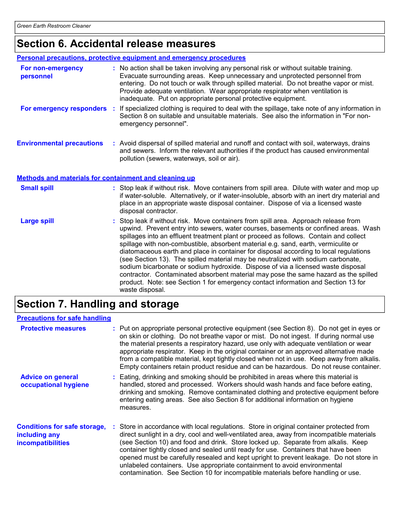### Section 6. Accidental release measures

| <b>Personal precautions, protective equipment and emergency procedures</b> |                                                                                                                                                                                                                                                                                                                                                                                                                                                                                                                                                                                                                                                                                                                                                                                                                           |  |  |
|----------------------------------------------------------------------------|---------------------------------------------------------------------------------------------------------------------------------------------------------------------------------------------------------------------------------------------------------------------------------------------------------------------------------------------------------------------------------------------------------------------------------------------------------------------------------------------------------------------------------------------------------------------------------------------------------------------------------------------------------------------------------------------------------------------------------------------------------------------------------------------------------------------------|--|--|
| For non-emergency<br>personnel                                             | : No action shall be taken involving any personal risk or without suitable training.<br>Evacuate surrounding areas. Keep unnecessary and unprotected personnel from<br>entering. Do not touch or walk through spilled material. Do not breathe vapor or mist.<br>Provide adequate ventilation. Wear appropriate respirator when ventilation is<br>inadequate. Put on appropriate personal protective equipment.                                                                                                                                                                                                                                                                                                                                                                                                           |  |  |
|                                                                            | For emergency responders : If specialized clothing is required to deal with the spillage, take note of any information in<br>Section 8 on suitable and unsuitable materials. See also the information in "For non-<br>emergency personnel".                                                                                                                                                                                                                                                                                                                                                                                                                                                                                                                                                                               |  |  |
| <b>Environmental precautions</b>                                           | : Avoid dispersal of spilled material and runoff and contact with soil, waterways, drains<br>and sewers. Inform the relevant authorities if the product has caused environmental<br>pollution (sewers, waterways, soil or air).                                                                                                                                                                                                                                                                                                                                                                                                                                                                                                                                                                                           |  |  |
| Methods and materials for containment and cleaning up                      |                                                                                                                                                                                                                                                                                                                                                                                                                                                                                                                                                                                                                                                                                                                                                                                                                           |  |  |
| <b>Small spill</b>                                                         | : Stop leak if without risk. Move containers from spill area. Dilute with water and mop up<br>if water-soluble. Alternatively, or if water-insoluble, absorb with an inert dry material and<br>place in an appropriate waste disposal container. Dispose of via a licensed waste<br>disposal contractor.                                                                                                                                                                                                                                                                                                                                                                                                                                                                                                                  |  |  |
| <b>Large spill</b>                                                         | : Stop leak if without risk. Move containers from spill area. Approach release from<br>upwind. Prevent entry into sewers, water courses, basements or confined areas. Wash<br>spillages into an effluent treatment plant or proceed as follows. Contain and collect<br>spillage with non-combustible, absorbent material e.g. sand, earth, vermiculite or<br>diatomaceous earth and place in container for disposal according to local regulations<br>(see Section 13). The spilled material may be neutralized with sodium carbonate,<br>sodium bicarbonate or sodium hydroxide. Dispose of via a licensed waste disposal<br>contractor. Contaminated absorbent material may pose the same hazard as the spilled<br>product. Note: see Section 1 for emergency contact information and Section 13 for<br>waste disposal. |  |  |

### Section 7. Handling and storage

| <b>Precautions for safe handling</b>                                             |                                                                                                                                                                                                                                                                                                                                                                                                                                                                                                                                                                                                                            |
|----------------------------------------------------------------------------------|----------------------------------------------------------------------------------------------------------------------------------------------------------------------------------------------------------------------------------------------------------------------------------------------------------------------------------------------------------------------------------------------------------------------------------------------------------------------------------------------------------------------------------------------------------------------------------------------------------------------------|
| <b>Protective measures</b>                                                       | : Put on appropriate personal protective equipment (see Section 8). Do not get in eyes or<br>on skin or clothing. Do not breathe vapor or mist. Do not ingest. If during normal use<br>the material presents a respiratory hazard, use only with adequate ventilation or wear<br>appropriate respirator. Keep in the original container or an approved alternative made<br>from a compatible material, kept tightly closed when not in use. Keep away from alkalis.<br>Empty containers retain product residue and can be hazardous. Do not reuse container.                                                               |
| <b>Advice on general</b><br>occupational hygiene                                 | : Eating, drinking and smoking should be prohibited in areas where this material is<br>handled, stored and processed. Workers should wash hands and face before eating,<br>drinking and smoking. Remove contaminated clothing and protective equipment before<br>entering eating areas. See also Section 8 for additional information on hygiene<br>measures.                                                                                                                                                                                                                                                              |
| <b>Conditions for safe storage,</b><br>including any<br><b>incompatibilities</b> | : Store in accordance with local regulations. Store in original container protected from<br>direct sunlight in a dry, cool and well-ventilated area, away from incompatible materials<br>(see Section 10) and food and drink. Store locked up. Separate from alkalis. Keep<br>container tightly closed and sealed until ready for use. Containers that have been<br>opened must be carefully resealed and kept upright to prevent leakage. Do not store in<br>unlabeled containers. Use appropriate containment to avoid environmental<br>contamination. See Section 10 for incompatible materials before handling or use. |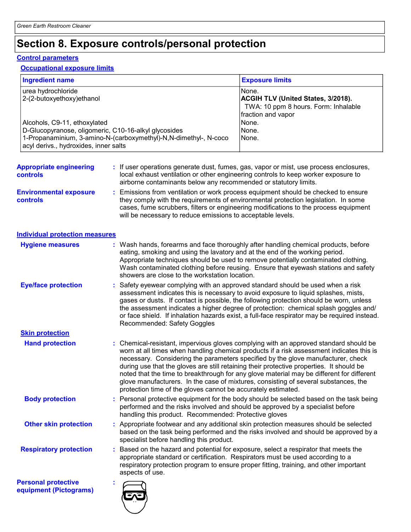### Section 8. Exposure controls/personal protection

#### **Control parameters**

#### **Occupational exposure limits**

| <b>Exposure limits</b>                    |
|-------------------------------------------|
| None.                                     |
| <b>ACGIH TLV (United States, 3/2018).</b> |
| TWA: 10 ppm 8 hours. Form: Inhalable      |
| fraction and vapor                        |
| None.                                     |
| None.                                     |
| None.                                     |
|                                           |

- : If user operations generate dust, fumes, gas, vapor or mist, use process enclosures, **Appropriate engineering** local exhaust ventilation or other engineering controls to keep worker exposure to **controls** airborne contaminants below any recommended or statutory limits. **Environmental exposure** : Emissions from ventilation or work process equipment should be checked to ensure
- they comply with the requirements of environmental protection legislation. In some controls cases, fume scrubbers, filters or engineering modifications to the process equipment will be necessary to reduce emissions to acceptable levels.

#### Individual protection measures

| <b>Hygiene measures</b>                     | : Wash hands, forearms and face thoroughly after handling chemical products, before<br>eating, smoking and using the lavatory and at the end of the working period.<br>Appropriate techniques should be used to remove potentially contaminated clothing.<br>Wash contaminated clothing before reusing. Ensure that eyewash stations and safety<br>showers are close to the workstation location.                                                                                                                                                                                                                      |
|---------------------------------------------|------------------------------------------------------------------------------------------------------------------------------------------------------------------------------------------------------------------------------------------------------------------------------------------------------------------------------------------------------------------------------------------------------------------------------------------------------------------------------------------------------------------------------------------------------------------------------------------------------------------------|
| <b>Eye/face protection</b>                  | : Safety eyewear complying with an approved standard should be used when a risk<br>assessment indicates this is necessary to avoid exposure to liquid splashes, mists,<br>gases or dusts. If contact is possible, the following protection should be worn, unless<br>the assessment indicates a higher degree of protection: chemical splash goggles and/<br>or face shield. If inhalation hazards exist, a full-face respirator may be required instead.<br>Recommended: Safety Goggles                                                                                                                               |
| <b>Skin protection</b>                      |                                                                                                                                                                                                                                                                                                                                                                                                                                                                                                                                                                                                                        |
| <b>Hand protection</b>                      | : Chemical-resistant, impervious gloves complying with an approved standard should be<br>worn at all times when handling chemical products if a risk assessment indicates this is<br>necessary. Considering the parameters specified by the glove manufacturer, check<br>during use that the gloves are still retaining their protective properties. It should be<br>noted that the time to breakthrough for any glove material may be different for different<br>glove manufacturers. In the case of mixtures, consisting of several substances, the<br>protection time of the gloves cannot be accurately estimated. |
| <b>Body protection</b>                      | : Personal protective equipment for the body should be selected based on the task being<br>performed and the risks involved and should be approved by a specialist before<br>handling this product. Recommended: Protective gloves                                                                                                                                                                                                                                                                                                                                                                                     |
| <b>Other skin protection</b>                | : Appropriate footwear and any additional skin protection measures should be selected<br>based on the task being performed and the risks involved and should be approved by a<br>specialist before handling this product.                                                                                                                                                                                                                                                                                                                                                                                              |
| <b>Respiratory protection</b>               | Based on the hazard and potential for exposure, select a respirator that meets the<br>appropriate standard or certification. Respirators must be used according to a<br>respiratory protection program to ensure proper fitting, training, and other important<br>aspects of use.                                                                                                                                                                                                                                                                                                                                      |
| التقارب والقارب والمرابط المستنبذ والمتناور |                                                                                                                                                                                                                                                                                                                                                                                                                                                                                                                                                                                                                        |

**Personal protective** equipment (Pictograms)

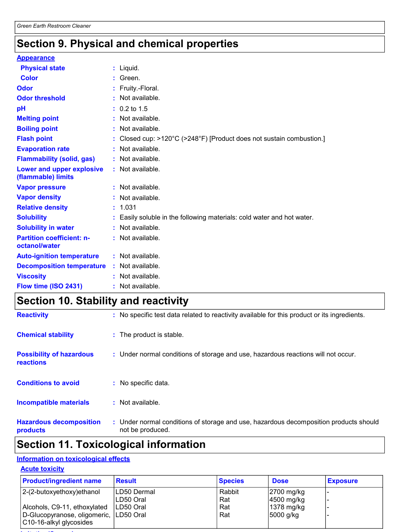### Section 9. Physical and chemical properties

#### **Appearance**

| <b>Physical state</b>                             | $:$ Liquid.                                                            |
|---------------------------------------------------|------------------------------------------------------------------------|
| <b>Color</b>                                      | : Green.                                                               |
| Odor                                              | : Fruity.-Floral.                                                      |
| <b>Odor threshold</b>                             | : Not available.                                                       |
| pH                                                | $: 0.2$ to 1.5                                                         |
| <b>Melting point</b>                              | : Not available.                                                       |
| <b>Boiling point</b>                              | : Not available.                                                       |
| <b>Flash point</b>                                | : Closed cup: >120°C (>248°F) [Product does not sustain combustion.]   |
| <b>Evaporation rate</b>                           | : Not available.                                                       |
| <b>Flammability (solid, gas)</b>                  | : Not available.                                                       |
| Lower and upper explosive<br>(flammable) limits   | : Not available.                                                       |
| <b>Vapor pressure</b>                             | : Not available.                                                       |
| <b>Vapor density</b>                              | : Not available.                                                       |
| <b>Relative density</b>                           | : 1.031                                                                |
| <b>Solubility</b>                                 | : Easily soluble in the following materials: cold water and hot water. |
| <b>Solubility in water</b>                        | : Not available.                                                       |
| <b>Partition coefficient: n-</b><br>octanol/water | : Not available.                                                       |
| <b>Auto-ignition temperature</b>                  | : Not available.                                                       |
| <b>Decomposition temperature</b>                  | : Not available.                                                       |
| <b>Viscosity</b>                                  | : Not available.                                                       |
| Flow time (ISO 2431)                              | : Not available.                                                       |

### **Section 10. Stability and reactivity**

| <b>Reactivity</b>                            | : No specific test data related to reactivity available for this product or its ingredients.              |
|----------------------------------------------|-----------------------------------------------------------------------------------------------------------|
| <b>Chemical stability</b>                    | : The product is stable.                                                                                  |
| <b>Possibility of hazardous</b><br>reactions | : Under normal conditions of storage and use, hazardous reactions will not occur.                         |
| <b>Conditions to avoid</b>                   | : No specific data.                                                                                       |
| <b>Incompatible materials</b>                | : Not available.                                                                                          |
| <b>Hazardous decomposition</b><br>products   | : Under normal conditions of storage and use, hazardous decomposition products should<br>not be produced. |

### **Section 11. Toxicological information**

#### **Information on toxicological effects**

#### **Acute toxicity**

| <b>Product/ingredient name</b>                                     | <b>Result</b>             | <b>Species</b> | <b>Dose</b>                | <b>Exposure</b>          |
|--------------------------------------------------------------------|---------------------------|----------------|----------------------------|--------------------------|
| 2-(2-butoxyethoxy)ethanol                                          | ILD50 Dermal<br>LD50 Oral | Rabbit<br>Rat  | 2700 mg/kg<br>$4500$ mg/kg | $\overline{\phantom{0}}$ |
| Alcohols, C9-11, ethoxylated                                       | ILD50 Oral                | Rat            | 1378 mg/kg                 | $\overline{\phantom{0}}$ |
| D-Glucopyranose, oligomeric,  LD50 Oral<br>C10-16-alkyl glycosides |                           | Rat            | 5000 g/kg                  |                          |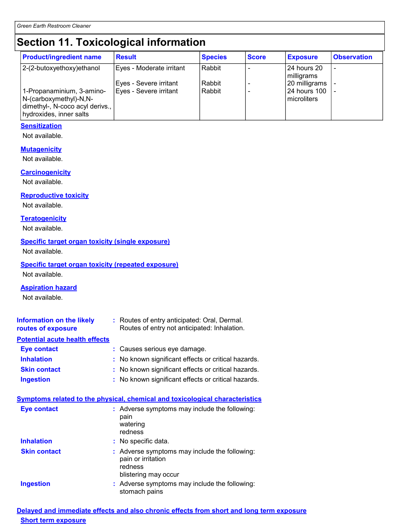### **Section 11. Toxicological information**

| <b>Product/ingredient name</b>                                                                                    | <b>Result</b>                                    | <b>Species</b>   | <b>Score</b> | <b>Exposure</b>                                | <b>Observation</b> |
|-------------------------------------------------------------------------------------------------------------------|--------------------------------------------------|------------------|--------------|------------------------------------------------|--------------------|
| 2-(2-butoxyethoxy)ethanol                                                                                         | Eyes - Moderate irritant                         | Rabbit           |              | 24 hours 20<br>milligrams                      |                    |
| 1-Propanaminium, 3-amino-<br>N-(carboxymethyl)-N,N-<br>dimethyl-, N-coco acyl derivs.,<br>hydroxides, inner salts | Eyes - Severe irritant<br>Eyes - Severe irritant | Rabbit<br>Rabbit |              | 20 milligrams<br>24 hours 100<br>l microliters |                    |

#### **Sensitization**

Not available.

#### **Mutagenicity**

Not available.

#### **Carcinogenicity**

Not available.

#### **Reproductive toxicity**

Not available.

#### **Teratogenicity**

Not available.

#### **Specific target organ toxicity (single exposure)**

Not available.

#### **Specific target organ toxicity (repeated exposure)**

Not available.

#### **Aspiration hazard**

Not available.

| Information on the likely<br>routes of exposure | : Routes of entry anticipated: Oral, Dermal.<br>Routes of entry not anticipated: Inhalation. |
|-------------------------------------------------|----------------------------------------------------------------------------------------------|
| <b>Potential acute health effects</b>           |                                                                                              |
| <b>Eye contact</b>                              | : Causes serious eye damage.                                                                 |
| <b>Inhalation</b>                               | : No known significant effects or critical hazards.                                          |
| <b>Skin contact</b>                             | : No known significant effects or critical hazards.                                          |
| <b>Ingestion</b>                                | : No known significant effects or critical hazards.                                          |

#### Symptoms related to the physical, chemical and toxicological characteristics

| <b>Eye contact</b>  | : Adverse symptoms may include the following:<br>pain<br>watering<br>redness                           |
|---------------------|--------------------------------------------------------------------------------------------------------|
| <b>Inhalation</b>   | : No specific data.                                                                                    |
| <b>Skin contact</b> | : Adverse symptoms may include the following:<br>pain or irritation<br>redness<br>blistering may occur |
| <b>Ingestion</b>    | : Adverse symptoms may include the following:<br>stomach pains                                         |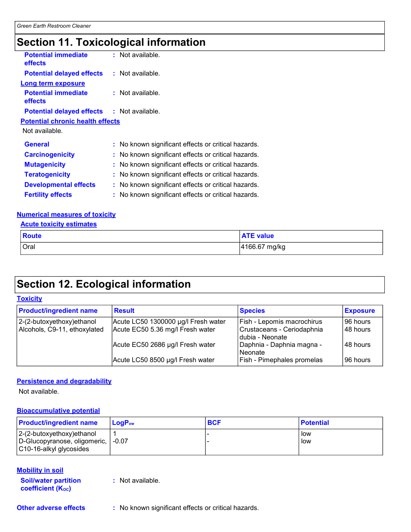### **Section 11. Toxicological information**

| <b>Potential immediate</b><br><b>effects</b>      | $:$ Not available.                                  |
|---------------------------------------------------|-----------------------------------------------------|
| <b>Potential delayed effects : Not available.</b> |                                                     |
| <b>Long term exposure</b>                         |                                                     |
| <b>Potential immediate</b><br><b>effects</b>      | $:$ Not available.                                  |
| <b>Potential delayed effects : Not available.</b> |                                                     |
| <b>Potential chronic health effects</b>           |                                                     |
| Not available.                                    |                                                     |
| <b>General</b>                                    | : No known significant effects or critical hazards. |
| <b>Carcinogenicity</b>                            | : No known significant effects or critical hazards. |
| <b>Mutagenicity</b>                               | : No known significant effects or critical hazards. |
| <b>Teratogenicity</b>                             | : No known significant effects or critical hazards. |
| <b>Developmental effects</b>                      | : No known significant effects or critical hazards. |
| <b>Fertility effects</b>                          | : No known significant effects or critical hazards. |

#### **Numerical measures of toxicity**

#### **Acute toxicity estimates**

| <b>Route</b> | <b>ATE value</b> |
|--------------|------------------|
| Oral         | 4166.67 mg/kg    |

### **Section 12. Ecological information**

#### **Toxicity Product/ingredient name Result Species Exposure** 2-(2-butoxyethoxy)ethanol Acute LC50 1300000 µg/l Fresh water 96 hours Fish - Lepomis macrochirus Alcohols, C9-11, ethoxylated 48 hours Acute EC50 5.36 mg/l Fresh water Crustaceans - Ceriodaphnia dubia - Neonate 48 hours Acute EC50 2686 µg/l Fresh water Daphnia - Daphnia magna -Neonate Acute LC50 8500 µg/l Fresh water Fish - Pimephales promelas 96 hours

#### **Persistence and degradability**

Not available.

#### **Bioaccumulative potential**

| <b>Product/ingredient name</b>                                                                  | $LoaPow$ | <b>BCF</b> | <b>Potential</b> |
|-------------------------------------------------------------------------------------------------|----------|------------|------------------|
| $ 2-(2-butoxyethoxy)ethanol$<br>D-Glucopyranose, oligomeric,   -0.07<br>C10-16-alkyl glycosides |          |            | low<br>low       |

#### **Mobility in soil**

**Soil/water partition** coefficient (Koc)

: Not available.

**Other adverse effects** 

: No known significant effects or critical hazards.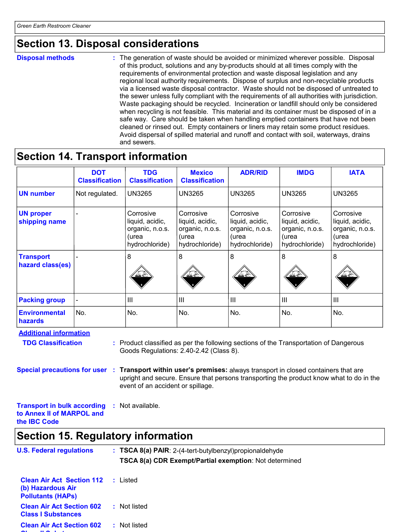### **Section 13. Disposal considerations**

**Disposal methods** 

: The generation of waste should be avoided or minimized wherever possible. Disposal of this product, solutions and any by-products should at all times comply with the requirements of environmental protection and waste disposal legislation and any regional local authority requirements. Dispose of surplus and non-recyclable products via a licensed waste disposal contractor. Waste should not be disposed of untreated to the sewer unless fully compliant with the requirements of all authorities with jurisdiction. Waste packaging should be recycled. Incineration or landfill should only be considered when recycling is not feasible. This material and its container must be disposed of in a safe way. Care should be taken when handling emptied containers that have not been cleaned or rinsed out. Empty containers or liners may retain some product residues. Avoid dispersal of spilled material and runoff and contact with soil, waterways, drains and sewers.

### **Section 14. Transport information**

|                                                                                                                                                                                                                                                                                                                                                                                                              | <b>DOT</b><br><b>Classification</b> | <b>TDG</b><br><b>Classification</b>                                        | <b>Mexico</b><br><b>Classification</b>                                     | <b>ADR/RID</b>                                                             | <b>IMDG</b>                                                                | <b>IATA</b>                                                                |
|--------------------------------------------------------------------------------------------------------------------------------------------------------------------------------------------------------------------------------------------------------------------------------------------------------------------------------------------------------------------------------------------------------------|-------------------------------------|----------------------------------------------------------------------------|----------------------------------------------------------------------------|----------------------------------------------------------------------------|----------------------------------------------------------------------------|----------------------------------------------------------------------------|
| <b>UN number</b>                                                                                                                                                                                                                                                                                                                                                                                             | Not regulated.                      | <b>UN3265</b>                                                              | <b>UN3265</b>                                                              | <b>UN3265</b>                                                              | <b>UN3265</b>                                                              | <b>UN3265</b>                                                              |
| <b>UN proper</b><br>shipping name                                                                                                                                                                                                                                                                                                                                                                            |                                     | Corrosive<br>liquid, acidic,<br>organic, n.o.s.<br>(urea<br>hydrochloride) | Corrosive<br>liquid, acidic,<br>organic, n.o.s.<br>(urea<br>hydrochloride) | Corrosive<br>liquid, acidic,<br>organic, n.o.s.<br>(urea<br>hydrochloride) | Corrosive<br>liquid, acidic,<br>organic, n.o.s.<br>(urea<br>hydrochloride) | Corrosive<br>liquid, acidic,<br>organic, n.o.s.<br>(urea<br>hydrochloride) |
| <b>Transport</b><br>hazard class(es)                                                                                                                                                                                                                                                                                                                                                                         |                                     | 8                                                                          | 8                                                                          | $\bf 8$                                                                    | 8                                                                          | 8                                                                          |
| <b>Packing group</b>                                                                                                                                                                                                                                                                                                                                                                                         |                                     | III                                                                        | III                                                                        | $\mathbf{III}$                                                             | $\mathbf{III}$                                                             | III                                                                        |
| <b>Environmental</b><br>hazards                                                                                                                                                                                                                                                                                                                                                                              | No.                                 | No.                                                                        | No.                                                                        | No.                                                                        | No.                                                                        | No.                                                                        |
| <b>Additional information</b><br><b>TDG Classification</b><br>: Product classified as per the following sections of the Transportation of Dangerous<br>Goods Regulations: 2.40-2.42 (Class 8).<br>Special precautions for user : Transport within user's premises: always transport in closed containers that are<br>upright and secure. Ensure that persons transporting the product know what to do in the |                                     |                                                                            |                                                                            |                                                                            |                                                                            |                                                                            |
| event of an accident or spillage.<br><b>Transport in bulk according</b><br>: Not available.                                                                                                                                                                                                                                                                                                                  |                                     |                                                                            |                                                                            |                                                                            |                                                                            |                                                                            |

to Annex II of MARPOL and

the **IBC** Code

### **Section 15. Regulatory information**

| <b>U.S. Federal regulations</b>                                                   | $\therefore$ TSCA 8(a) PAIR: 2-(4-tert-butylbenzyl) propional dehy de |
|-----------------------------------------------------------------------------------|-----------------------------------------------------------------------|
|                                                                                   | <b>TSCA 8(a) CDR Exempt/Partial exemption: Not determined</b>         |
| <b>Clean Air Act Section 112</b><br>(b) Hazardous Air<br><b>Pollutants (HAPS)</b> | : Listed                                                              |
| <b>Clean Air Act Section 602</b><br><b>Class I Substances</b>                     | : Not listed                                                          |
| <b>Clean Air Act Section 602</b>                                                  | : Not listed                                                          |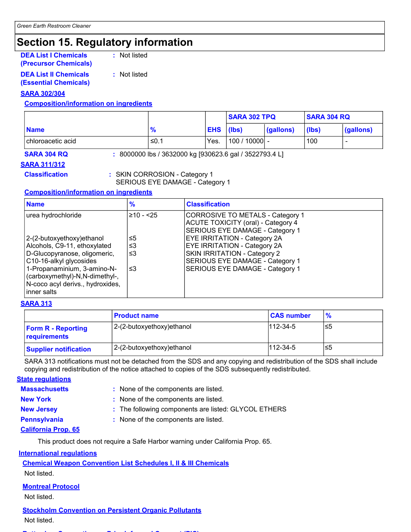### **Section 15. Regulatory information**

**DEA List I Chemicals** (Precursor Chemicals) : Not listed

**DEA List II Chemicals (Essential Chemicals)**  : Not listed

#### **SARA 302/304**

#### **Composition/information on ingredients**

|                     |               |            | <b>SARA 302 TPQ</b> |           | <b>SARA 304 RQ</b> |                          |
|---------------------|---------------|------------|---------------------|-----------|--------------------|--------------------------|
| <b>Name</b>         | $\frac{9}{6}$ | <b>EHS</b> | (lbs)               | (gallons) | (lbs)              | (gallons)                |
| l chloroacetic acid | ≤0.1          | Yes.       | 100/10000           |           | 100                | $\overline{\phantom{a}}$ |

**SARA 304 RQ** 

: 8000000 lbs / 3632000 kg [930623.6 gal / 3522793.4 L]

**SARA 311/312 Classification** 

: SKIN CORROSION - Category 1 SERIOUS EYE DAMAGE - Category 1

#### **Composition/information on ingredients**

| <b>Name</b>                                                                                                                                                                                                                | $\frac{9}{6}$         | <b>Classification</b>                                                                                                                                                                   |
|----------------------------------------------------------------------------------------------------------------------------------------------------------------------------------------------------------------------------|-----------------------|-----------------------------------------------------------------------------------------------------------------------------------------------------------------------------------------|
| urea hydrochloride                                                                                                                                                                                                         | $≥10 - 25$            | CORROSIVE TO METALS - Category 1<br><b>ACUTE TOXICITY (oral) - Category 4</b><br>SERIOUS EYE DAMAGE - Category 1                                                                        |
| 2-(2-butoxyethoxy) ethanol<br>Alcohols, C9-11, ethoxylated<br>D-Glucopyranose, oligomeric,<br>C10-16-alkyl glycosides<br>1-Propanaminium, 3-amino-N-<br>(carboxymethyl)-N,N-dimethyl-,<br>N-coco acyl derivs., hydroxides, | ≤5<br>≤3<br>≤3<br>וצ≥ | <b>EYE IRRITATION - Category 2A</b><br><b>EYE IRRITATION - Category 2A</b><br>SKIN IRRITATION - Category 2<br>SERIOUS EYE DAMAGE - Category 1<br><b>SERIOUS EYE DAMAGE - Category 1</b> |
| inner salts                                                                                                                                                                                                                |                       |                                                                                                                                                                                         |

#### **SARA 313**

|                                           | <b>Product name</b>        | <b>CAS number</b> | $\frac{9}{6}$ |
|-------------------------------------------|----------------------------|-------------------|---------------|
| <b>Form R - Reporting</b><br>requirements | 2-(2-butoxyethoxy) ethanol | $112 - 34 - 5$    | ≤5            |
| <b>Supplier notification</b>              | 2-(2-butoxyethoxy) ethanol | $112 - 34 - 5$    | .≤5           |

SARA 313 notifications must not be detached from the SDS and any copying and redistribution of the SDS shall include copying and redistribution of the notice attached to copies of the SDS subsequently redistributed.

#### **State regulations**

| <b>Massachusetts</b> | : None of the components are listed.                                                         |  |  |
|----------------------|----------------------------------------------------------------------------------------------|--|--|
| New York             | : None of the components are listed.                                                         |  |  |
| <b>New Jersey</b>    | : The following components are listed: GLYCOL ETHERS<br>: None of the components are listed. |  |  |
| <b>Pennsylvania</b>  |                                                                                              |  |  |
| Asillands Board AP   |                                                                                              |  |  |

<u>California Prop. 65</u>

This product does not require a Safe Harbor warning under California Prop. 65.

#### **International regulations**

**Chemical Weapon Convention List Schedules I, II & III Chemicals** 

Not listed.

#### **Montreal Protocol**

Not listed.

**Stockholm Convention on Persistent Organic Pollutants** 

Not listed.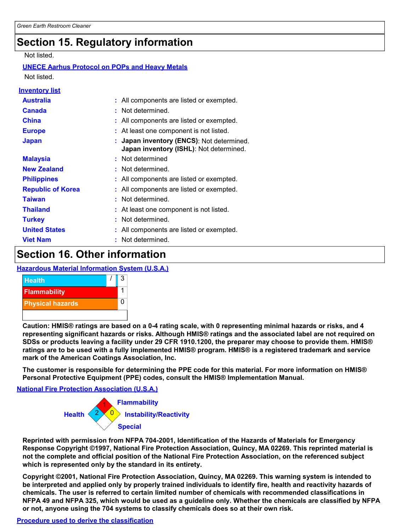### **Section 15. Regulatory information**

#### Not listed.

#### **UNECE Aarhus Protocol on POPs and Heavy Metals** Not listed

| Inventory list           |                                                                                      |
|--------------------------|--------------------------------------------------------------------------------------|
| <b>Australia</b>         | : All components are listed or exempted.                                             |
| <b>Canada</b>            | : Not determined.                                                                    |
| <b>China</b>             | : All components are listed or exempted.                                             |
| <b>Europe</b>            | : At least one component is not listed.                                              |
| <b>Japan</b>             | : Japan inventory (ENCS): Not determined.<br>Japan inventory (ISHL): Not determined. |
| <b>Malaysia</b>          | : Not determined                                                                     |
| <b>New Zealand</b>       | : Not determined.                                                                    |
| <b>Philippines</b>       | : All components are listed or exempted.                                             |
| <b>Republic of Korea</b> | All components are listed or exempted.                                               |
| <b>Taiwan</b>            | : Not determined.                                                                    |
| <b>Thailand</b>          | : At least one component is not listed.                                              |
| <b>Turkey</b>            | : Not determined.                                                                    |
| <b>United States</b>     | : All components are listed or exempted.                                             |
| <b>Viet Nam</b>          | Not determined.                                                                      |

### **Section 16. Other information**

#### **Hazardous Material Information System (U.S.A.)**



Caution: HMIS® ratings are based on a 0-4 rating scale, with 0 representing minimal hazards or risks, and 4 representing significant hazards or risks. Although HMIS® ratings and the associated label are not required on SDSs or products leaving a facility under 29 CFR 1910.1200, the preparer may choose to provide them. HMIS® ratings are to be used with a fully implemented HMIS® program. HMIS® is a registered trademark and service mark of the American Coatings Association, Inc.

The customer is responsible for determining the PPE code for this material. For more information on HMIS® Personal Protective Equipment (PPE) codes, consult the HMIS® Implementation Manual.

**National Fire Protection Association (U.S.A.)** 



Reprinted with permission from NFPA 704-2001, Identification of the Hazards of Materials for Emergency Response Copyright ©1997. National Fire Protection Association. Quincy. MA 02269. This reprinted material is not the complete and official position of the National Fire Protection Association, on the referenced subject which is represented only by the standard in its entirety.

Copyright ©2001, National Fire Protection Association, Quincy, MA 02269. This warning system is intended to be interpreted and applied only by properly trained individuals to identify fire, health and reactivity hazards of chemicals. The user is referred to certain limited number of chemicals with recommended classifications in NFPA 49 and NFPA 325, which would be used as a guideline only. Whether the chemicals are classified by NFPA or not, anyone using the 704 systems to classify chemicals does so at their own risk.

#### Procedure used to derive the classification